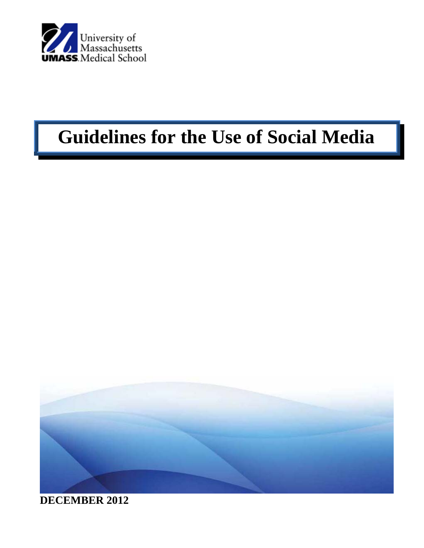

# **Guidelines for the Use of Social Media**



**DECEMBER 2012**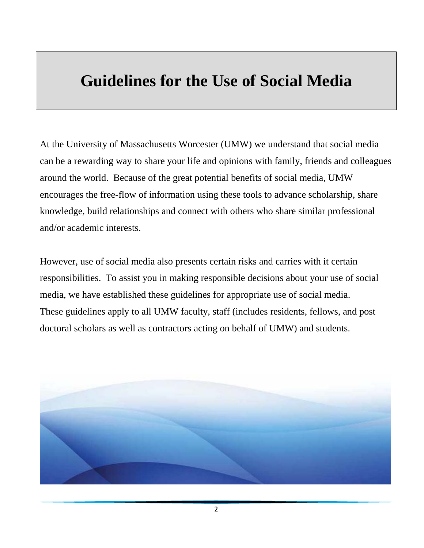# **Guidelines for the Use of Social Media**

At the University of Massachusetts Worcester (UMW) we understand that social media can be a rewarding way to share your life and opinions with family, friends and colleagues around the world. Because of the great potential benefits of social media, UMW encourages the free-flow of information using these tools to advance scholarship, share knowledge, build relationships and connect with others who share similar professional and/or academic interests.

However, use of social media also presents certain risks and carries with it certain responsibilities. To assist you in making responsible decisions about your use of social media, we have established these guidelines for appropriate use of social media. These guidelines apply to all UMW faculty, staff (includes residents, fellows, and post doctoral scholars as well as contractors acting on behalf of UMW) and students.

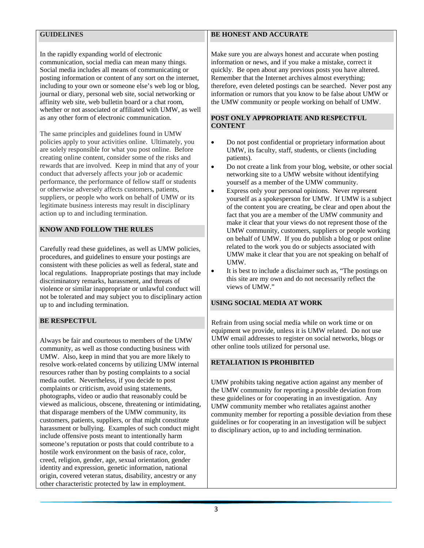# **GUIDELINES**

In the rapidly expanding world of electronic communication, social media can mean many things. Social media includes all means of communicating or posting information or content of any sort on the internet, including to your own or someone else's web log or blog, journal or diary, personal web site, social networking or affinity web site, web bulletin board or a chat room, whether or not associated or affiliated with UMW, as well as any other form of electronic communication.

The same principles and guidelines found in UMW policies apply to your activities online. Ultimately, you are solely responsible for what you post online. Before creating online content, consider some of the risks and rewards that are involved. Keep in mind that any of your conduct that adversely affects your job or academic performance, the performance of fellow staff or students or otherwise adversely affects customers, patients, suppliers, or people who work on behalf of UMW or its legitimate business interests may result in disciplinary action up to and including termination.

# **KNOW AND FOLLOW THE RULES**

Carefully read these guidelines, as well as UMW policies, procedures, and guidelines to ensure your postings are consistent with these policies as well as federal, state and local regulations. Inappropriate postings that may include discriminatory remarks, harassment, and threats of violence or similar inappropriate or unlawful conduct will not be tolerated and may subject you to disciplinary action up to and including termination.

# **BE RESPECTFUL**

Always be fair and courteous to members of the UMW community, as well as those conducting business with UMW. Also, keep in mind that you are more likely to resolve work-related concerns by utilizing UMW internal resources rather than by posting complaints to a social media outlet. Nevertheless, if you decide to post complaints or criticism, avoid using statements, photographs, video or audio that reasonably could be viewed as malicious, obscene, threatening or intimidating, that disparage members of the UMW community, its customers, patients, suppliers, or that might constitute harassment or bullying. Examples of such conduct might include offensive posts meant to intentionally harm someone's reputation or posts that could contribute to a hostile work environment on the basis of race, color, creed, religion, gender, age, sexual orientation, gender identity and expression, genetic information, national origin, covered veteran status, disability, ancestry or any other characteristic protected by law in employment.

# **BE HONEST AND ACCURATE**

Make sure you are always honest and accurate when posting information or news, and if you make a mistake, correct it quickly. Be open about any previous posts you have altered. Remember that the Internet archives almost everything; therefore, even deleted postings can be searched. Never post any information or rumors that you know to be false about UMW or the UMW community or people working on behalf of UMW.

#### **POST ONLY APPROPRIATE AND RESPECTFUL CONTENT**

- Do not post confidential or proprietary information about UMW, its faculty, staff, students, or clients (including patients).
- Do not create a link from your blog, website, or other social networking site to a UMW website without identifying yourself as a member of the UMW community.
- Express only your personal opinions. Never represent yourself as a spokesperson for UMW. If UMW is a subject of the content you are creating, be clear and open about the fact that you are a member of the UMW community and make it clear that your views do not represent those of the UMW community, customers, suppliers or people working on behalf of UMW. If you do publish a blog or post online related to the work you do or subjects associated with UMW make it clear that you are not speaking on behalf of UMW.
- It is best to include a disclaimer such as, "The postings on this site are my own and do not necessarily reflect the views of UMW."

## **USING SOCIAL MEDIA AT WORK**

Refrain from using social media while on work time or on equipment we provide, unless it is UMW related. Do not use UMW email addresses to register on social networks, blogs or other online tools utilized for personal use.

## **RETALIATION IS PROHIBITED**

UMW prohibits taking negative action against any member of the UMW community for reporting a possible deviation from these guidelines or for cooperating in an investigation. Any UMW community member who retaliates against another community member for reporting a possible deviation from these guidelines or for cooperating in an investigation will be subject to disciplinary action, up to and including termination.